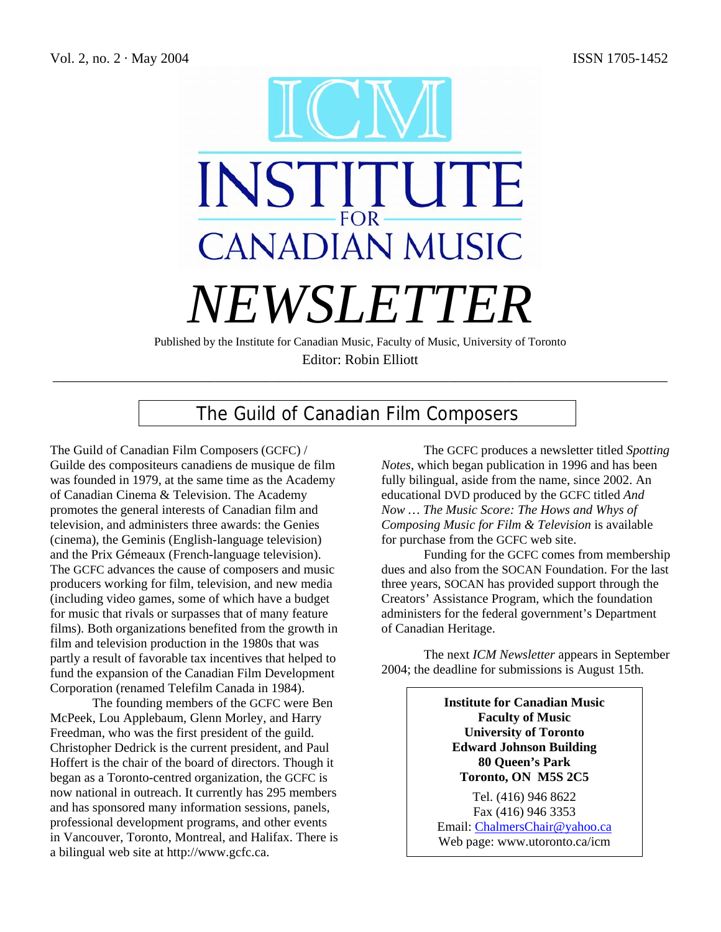

Editor: Robin Elliott \_\_\_\_\_\_\_\_\_\_\_\_\_\_\_\_\_\_\_\_\_\_\_\_\_\_\_\_\_\_\_\_\_\_\_\_\_\_\_\_\_\_\_\_\_\_\_\_\_\_\_\_\_\_\_\_\_\_\_\_\_\_\_\_\_\_\_\_\_\_\_\_\_\_\_\_\_\_\_\_\_\_\_\_\_\_\_

# The Guild of Canadian Film Composers

The Guild of Canadian Film Composers (GCFC) / Guilde des compositeurs canadiens de musique de film was founded in 1979, at the same time as the Academy of Canadian Cinema & Television. The Academy promotes the general interests of Canadian film and television, and administers three awards: the Genies (cinema), the Geminis (English-language television) and the Prix Gémeaux (French-language television). The GCFC advances the cause of composers and music producers working for film, television, and new media (including video games, some of which have a budget for music that rivals or surpasses that of many feature films). Both organizations benefited from the growth in film and television production in the 1980s that was partly a result of favorable tax incentives that helped to fund the expansion of the Canadian Film Development Corporation (renamed Telefilm Canada in 1984).

The founding members of the GCFC were Ben McPeek, Lou Applebaum, Glenn Morley, and Harry Freedman, who was the first president of the guild. Christopher Dedrick is the current president, and Paul Hoffert is the chair of the board of directors. Though it began as a Toronto-centred organization, the GCFC is now national in outreach. It currently has 295 members and has sponsored many information sessions, panels, professional development programs, and other events in Vancouver, Toronto, Montreal, and Halifax. There is a bilingual web site at http://www.gcfc.ca.

The GCFC produces a newsletter titled *Spotting Notes*, which began publication in 1996 and has been fully bilingual, aside from the name, since 2002. An educational DVD produced by the GCFC titled *And Now … The Music Score: The Hows and Whys of Composing Music for Film & Television* is available for purchase from the GCFC web site.

Funding for the GCFC comes from membership dues and also from the SOCAN Foundation. For the last three years, SOCAN has provided support through the Creators' Assistance Program, which the foundation administers for the federal government's Department of Canadian Heritage.

The next *ICM Newsletter* appears in September 2004; the deadline for submissions is August 15th.

> **Institute for Canadian Music Faculty of Music University of Toronto Edward Johnson Building 80 Queen's Park Toronto, ON M5S 2C5**

Tel. (416) 946 8622 Fax (416) 946 3353 Email: ChalmersChair@yahoo.ca Web page: www.utoronto.ca/icm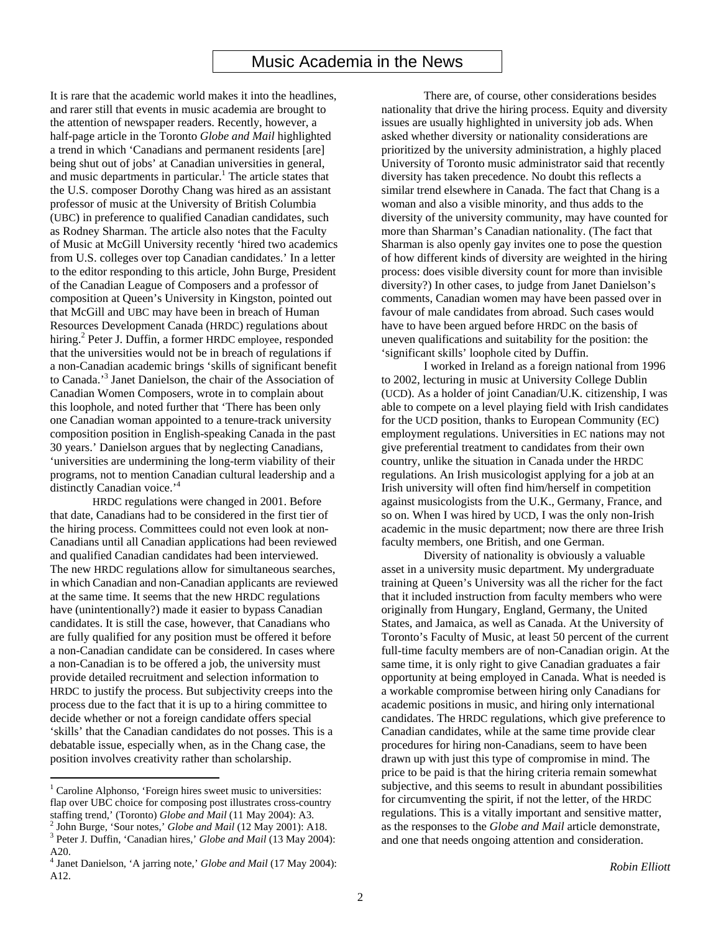## Music Academia in the News

It is rare that the academic world makes it into the headlines, and rarer still that events in music academia are brought to the attention of newspaper readers. Recently, however, a half-page article in the Toronto *Globe and Mail* highlighted a trend in which 'Canadians and permanent residents [are] being shut out of jobs' at Canadian universities in general, and music departments in particular.<sup>1</sup> The article states that the U.S. composer Dorothy Chang was hired as an assistant professor of music at the University of British Columbia (UBC) in preference to qualified Canadian candidates, such as Rodney Sharman. The article also notes that the Faculty of Music at McGill University recently 'hired two academics from U.S. colleges over top Canadian candidates.' In a letter to the editor responding to this article, John Burge, President of the Canadian League of Composers and a professor of composition at Queen's University in Kingston, pointed out that McGill and UBC may have been in breach of Human Resources Development Canada (HRDC) regulations about hiring.<sup>2</sup> Peter J. Duffin, a former HRDC employee, responded that the universities would not be in breach of regulations if a non-Canadian academic brings 'skills of significant benefit to Canada.' 3 Janet Danielson, the chair of the Association of Canadian Women Composers, wrote in to complain about this loophole, and noted further that 'There has been only one Canadian woman appointed to a tenure-track university composition position in English-speaking Canada in the past 30 years.' Danielson argues that by neglecting Canadians, 'universities are undermining the long-term viability of their programs, not to mention Canadian cultural leadership and a distinctly Canadian voice.<sup>'4</sup>

HRDC regulations were changed in 2001. Before that date, Canadians had to be considered in the first tier of the hiring process. Committees could not even look at non-Canadians until all Canadian applications had been reviewed and qualified Canadian candidates had been interviewed. The new HRDC regulations allow for simultaneous searches, in which Canadian and non-Canadian applicants are reviewed at the same time. It seems that the new HRDC regulations have (unintentionally?) made it easier to bypass Canadian candidates. It is still the case, however, that Canadians who are fully qualified for any position must be offered it before a non-Canadian candidate can be considered. In cases where a non-Canadian is to be offered a job, the university must provide detailed recruitment and selection information to HRDC to justify the process. But subjectivity creeps into the process due to the fact that it is up to a hiring committee to decide whether or not a foreign candidate offers special 'skills' that the Canadian candidates do not posses. This is a debatable issue, especially when, as in the Chang case, the position involves creativity rather than scholarship.

 $\overline{a}$ 

There are, of course, other considerations besides nationality that drive the hiring process. Equity and diversity issues are usually highlighted in university job ads. When asked whether diversity or nationality considerations are prioritized by the university administration, a highly placed University of Toronto music administrator said that recently diversity has taken precedence. No doubt this reflects a similar trend elsewhere in Canada. The fact that Chang is a woman and also a visible minority, and thus adds to the diversity of the university community, may have counted for more than Sharman's Canadian nationality. (The fact that Sharman is also openly gay invites one to pose the question of how different kinds of diversity are weighted in the hiring process: does visible diversity count for more than invisible diversity?) In other cases, to judge from Janet Danielson's comments, Canadian women may have been passed over in favour of male candidates from abroad. Such cases would have to have been argued before HRDC on the basis of uneven qualifications and suitability for the position: the 'significant skills' loophole cited by Duffin.

I worked in Ireland as a foreign national from 1996 to 2002, lecturing in music at University College Dublin (UCD). As a holder of joint Canadian/U.K. citizenship, I was able to compete on a level playing field with Irish candidates for the UCD position, thanks to European Community (EC) employment regulations. Universities in EC nations may not give preferential treatment to candidates from their own country, unlike the situation in Canada under the HRDC regulations. An Irish musicologist applying for a job at an Irish university will often find him/herself in competition against musicologists from the U.K., Germany, France, and so on. When I was hired by UCD, I was the only non-Irish academic in the music department; now there are three Irish faculty members, one British, and one German.

Diversity of nationality is obviously a valuable asset in a university music department. My undergraduate training at Queen's University was all the richer for the fact that it included instruction from faculty members who were originally from Hungary, England, Germany, the United States, and Jamaica, as well as Canada. At the University of Toronto's Faculty of Music, at least 50 percent of the current full-time faculty members are of non-Canadian origin. At the same time, it is only right to give Canadian graduates a fair opportunity at being employed in Canada. What is needed is a workable compromise between hiring only Canadians for academic positions in music, and hiring only international candidates. The HRDC regulations, which give preference to Canadian candidates, while at the same time provide clear procedures for hiring non-Canadians, seem to have been drawn up with just this type of compromise in mind. The price to be paid is that the hiring criteria remain somewhat subjective, and this seems to result in abundant possibilities for circumventing the spirit, if not the letter, of the HRDC regulations. This is a vitally important and sensitive matter, as the responses to the *Globe and Mail* article demonstrate, and one that needs ongoing attention and consideration.

<sup>&</sup>lt;sup>1</sup> Caroline Alphonso, 'Foreign hires sweet music to universities: flap over UBC choice for composing post illustrates cross-country staffing trend,' (Toronto) *Globe and Mail* (11 May 2004): A3. 2 <sup>2</sup> John Burge, 'Sour notes,' *Globe and Mail* (12 May 2001): A18.

<sup>&</sup>lt;sup>3</sup> Peter J. Duffin, 'Canadian hires,' *Globe and Mail* (13 May 2004):  $\frac{\text{A20}}{4}$ 

Janet Danielson, 'A jarring note,' *Globe and Mail* (17 May 2004): A12.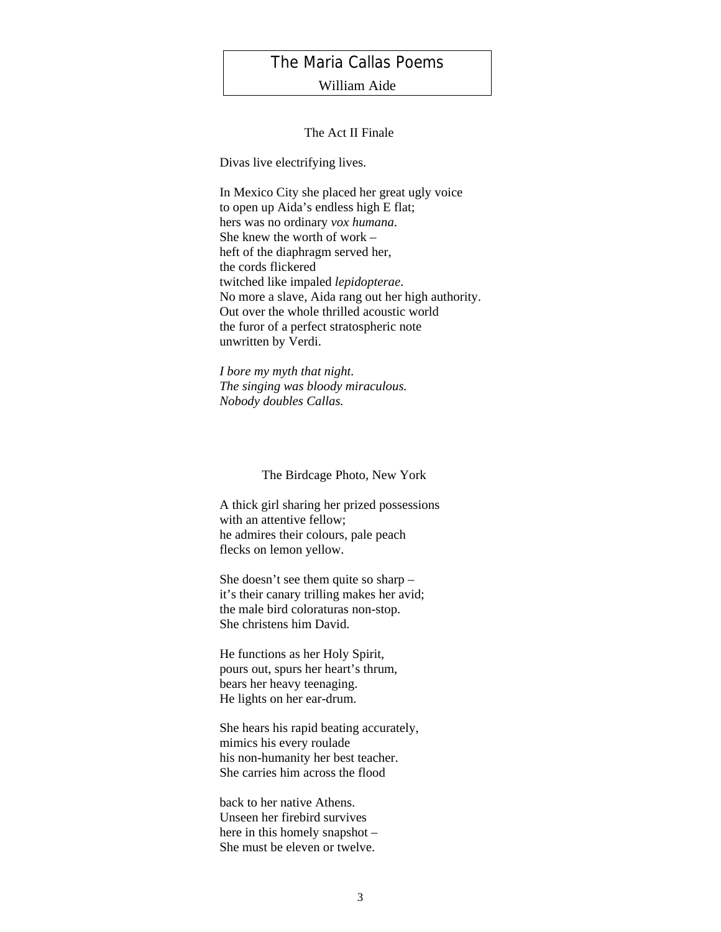## The Maria Callas Poems

### William Aide

#### The Act II Finale

Divas live electrifying lives.

In Mexico City she placed her great ugly voice to open up Aida's endless high E flat; hers was no ordinary *vox humana*. She knew the worth of work – heft of the diaphragm served her, the cords flickered twitched like impaled *lepidopterae*. No more a slave, Aida rang out her high authority. Out over the whole thrilled acoustic world the furor of a perfect stratospheric note unwritten by Verdi.

*I bore my myth that night. The singing was bloody miraculous. Nobody doubles Callas.*

The Birdcage Photo, New York

A thick girl sharing her prized possessions with an attentive fellow; he admires their colours, pale peach flecks on lemon yellow.

She doesn't see them quite so sharp – it's their canary trilling makes her avid; the male bird coloraturas non-stop. She christens him David.

He functions as her Holy Spirit, pours out, spurs her heart's thrum, bears her heavy teenaging. He lights on her ear-drum.

She hears his rapid beating accurately, mimics his every roulade his non-humanity her best teacher. She carries him across the flood

back to her native Athens. Unseen her firebird survives here in this homely snapshot – She must be eleven or twelve.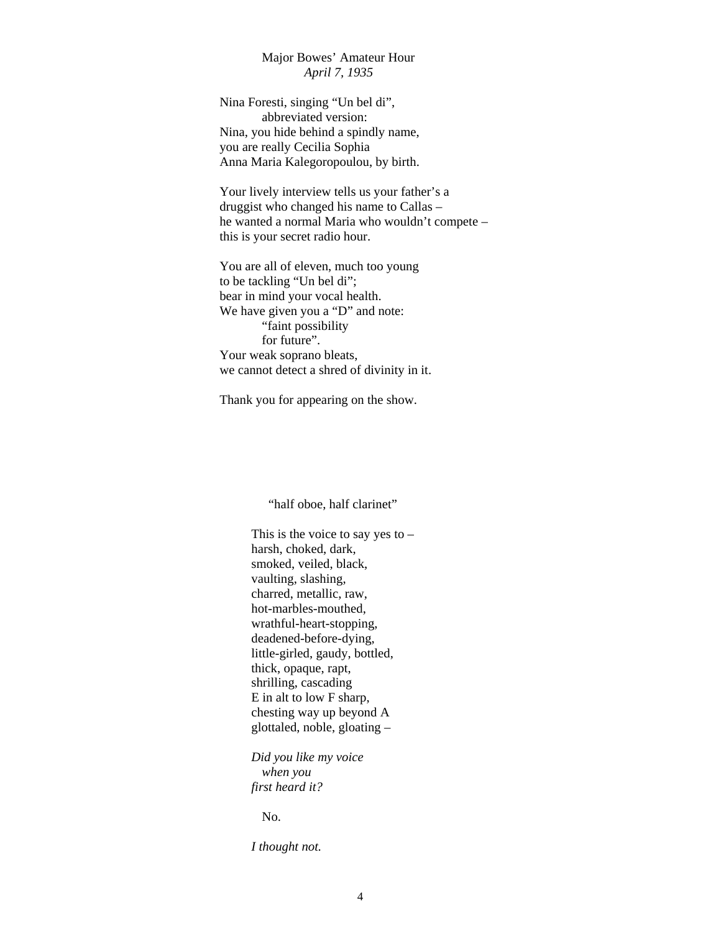### Major Bowes' Amateur Hour *April 7, 1935*

Nina Foresti, singing "Un bel di", abbreviated version: Nina, you hide behind a spindly name, you are really Cecilia Sophia Anna Maria Kalegoropoulou, by birth.

Your lively interview tells us your father's a druggist who changed his name to Callas – he wanted a normal Maria who wouldn't compete – this is your secret radio hour.

You are all of eleven, much too young to be tackling "Un bel di"; bear in mind your vocal health. We have given you a "D" and note: "faint possibility for future". Your weak soprano bleats, we cannot detect a shred of divinity in it.

Thank you for appearing on the show.

"half oboe, half clarinet"

This is the voice to say yes to – harsh, choked, dark, smoked, veiled, black, vaulting, slashing, charred, metallic, raw, hot-marbles-mouthed, wrathful-heart-stopping, deadened-before-dying, little-girled, gaudy, bottled, thick, opaque, rapt, shrilling, cascading E in alt to low F sharp, chesting way up beyond A glottaled, noble, gloating –

*Did you like my voice when you first heard it?*

No.

*I thought not.*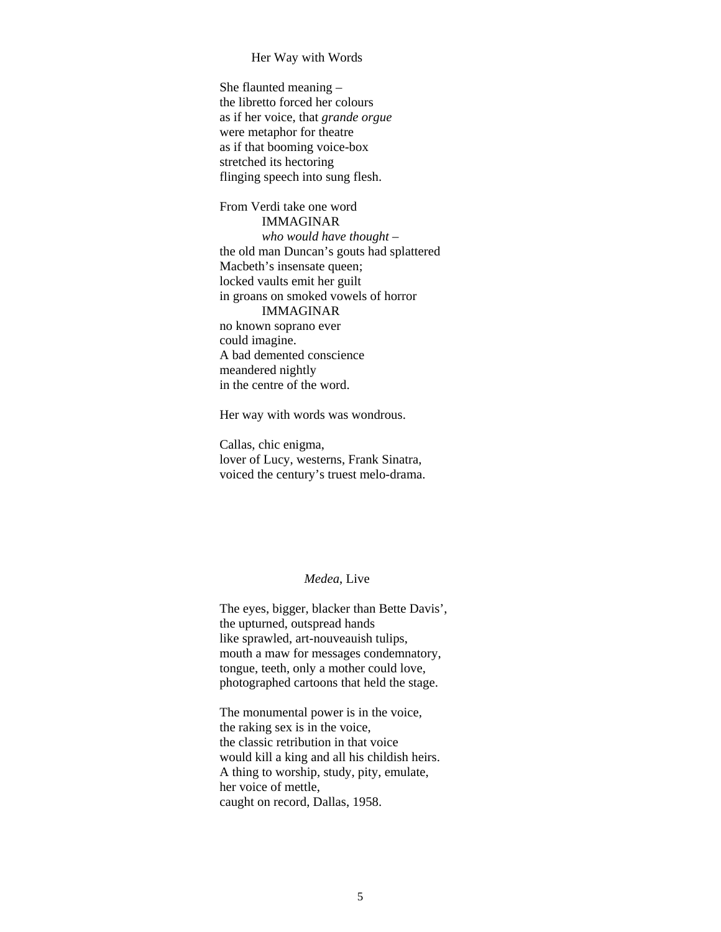#### Her Way with Words

She flaunted meaning – the libretto forced her colours as if her voice, that *grande orgue* were metaphor for theatre as if that booming voice-box stretched its hectoring flinging speech into sung flesh.

From Verdi take one word IMMAGINAR *who would have thought* – the old man Duncan's gouts had splattered Macbeth's insensate queen; locked vaults emit her guilt in groans on smoked vowels of horror IMMAGINAR no known soprano ever could imagine. A bad demented conscience meandered nightly in the centre of the word.

Her way with words was wondrous.

Callas, chic enigma, lover of Lucy, westerns, Frank Sinatra, voiced the century's truest melo-drama.

#### *Medea*, Live

The eyes, bigger, blacker than Bette Davis', the upturned, outspread hands like sprawled, art-nouveauish tulips, mouth a maw for messages condemnatory, tongue, teeth, only a mother could love, photographed cartoons that held the stage.

The monumental power is in the voice, the raking sex is in the voice, the classic retribution in that voice would kill a king and all his childish heirs. A thing to worship, study, pity, emulate, her voice of mettle, caught on record, Dallas, 1958.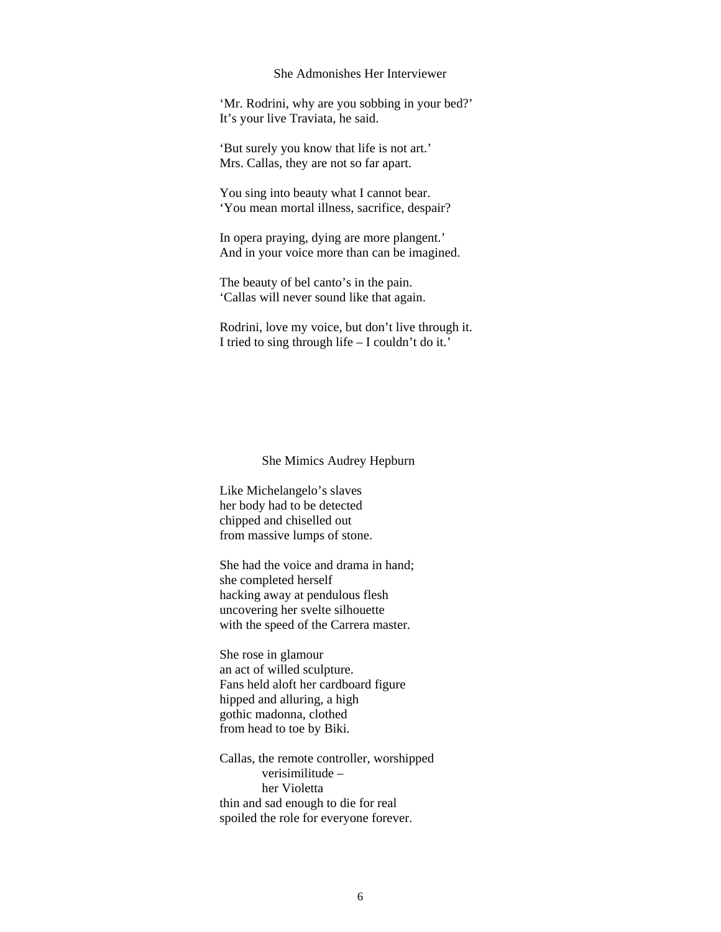#### She Admonishes Her Interviewer

'Mr. Rodrini, why are you sobbing in your bed?' It's your live Traviata, he said.

'But surely you know that life is not art.' Mrs. Callas, they are not so far apart.

You sing into beauty what I cannot bear. 'You mean mortal illness, sacrifice, despair?

In opera praying, dying are more plangent.' And in your voice more than can be imagined.

The beauty of bel canto's in the pain. 'Callas will never sound like that again.

Rodrini, love my voice, but don't live through it. I tried to sing through life – I couldn't do it.'

She Mimics Audrey Hepburn

Like Michelangelo's slaves her body had to be detected chipped and chiselled out from massive lumps of stone.

She had the voice and drama in hand; she completed herself hacking away at pendulous flesh uncovering her svelte silhouette with the speed of the Carrera master.

She rose in glamour an act of willed sculpture. Fans held aloft her cardboard figure hipped and alluring, a high gothic madonna, clothed from head to toe by Biki.

Callas, the remote controller, worshipped verisimilitude – her Violetta thin and sad enough to die for real spoiled the role for everyone forever.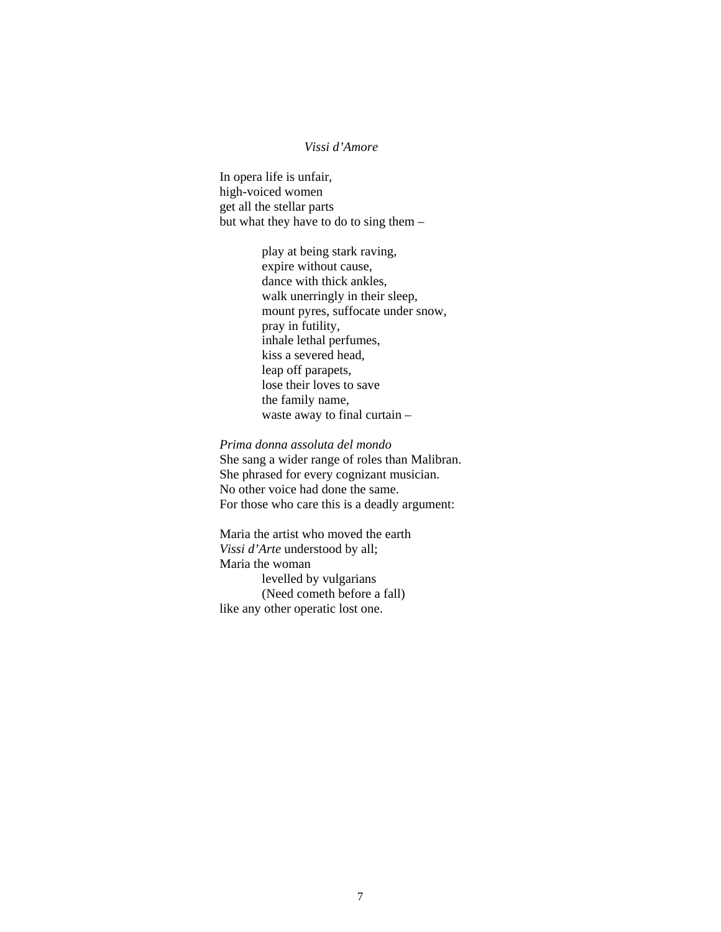#### *Vissi d'Amore*

In opera life is unfair, high-voiced women get all the stellar parts but what they have to do to sing them –

> play at being stark raving, expire without cause, dance with thick ankles, walk unerringly in their sleep, mount pyres, suffocate under snow, pray in futility, inhale lethal perfumes, kiss a severed head, leap off parapets, lose their loves to save the family name, waste away to final curtain –

*Prima donna assoluta del mondo* She sang a wider range of roles than Malibran. She phrased for every cognizant musician. No other voice had done the same. For those who care this is a deadly argument:

Maria the artist who moved the earth *Vissi d'Arte* understood by all; Maria the woman levelled by vulgarians (Need cometh before a fall) like any other operatic lost one.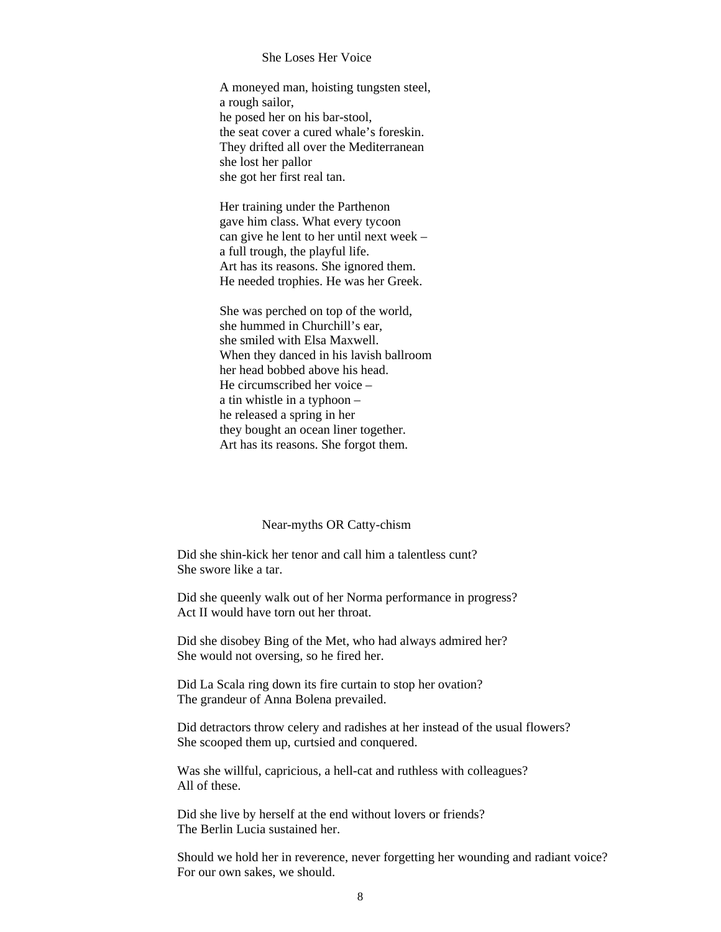#### She Loses Her Voice

A moneyed man, hoisting tungsten steel, a rough sailor, he posed her on his bar-stool, the seat cover a cured whale's foreskin. They drifted all over the Mediterranean she lost her pallor she got her first real tan.

Her training under the Parthenon gave him class. What every tycoon can give he lent to her until next week – a full trough, the playful life. Art has its reasons. She ignored them. He needed trophies. He was her Greek.

She was perched on top of the world, she hummed in Churchill's ear, she smiled with Elsa Maxwell. When they danced in his lavish ballroom her head bobbed above his head. He circumscribed her voice – a tin whistle in a typhoon – he released a spring in her they bought an ocean liner together. Art has its reasons. She forgot them.

#### Near-myths OR Catty-chism

Did she shin-kick her tenor and call him a talentless cunt? She swore like a tar.

Did she queenly walk out of her Norma performance in progress? Act II would have torn out her throat.

Did she disobey Bing of the Met, who had always admired her? She would not oversing, so he fired her.

Did La Scala ring down its fire curtain to stop her ovation? The grandeur of Anna Bolena prevailed.

Did detractors throw celery and radishes at her instead of the usual flowers? She scooped them up, curtsied and conquered.

Was she willful, capricious, a hell-cat and ruthless with colleagues? All of these.

Did she live by herself at the end without lovers or friends? The Berlin Lucia sustained her.

Should we hold her in reverence, never forgetting her wounding and radiant voice? For our own sakes, we should.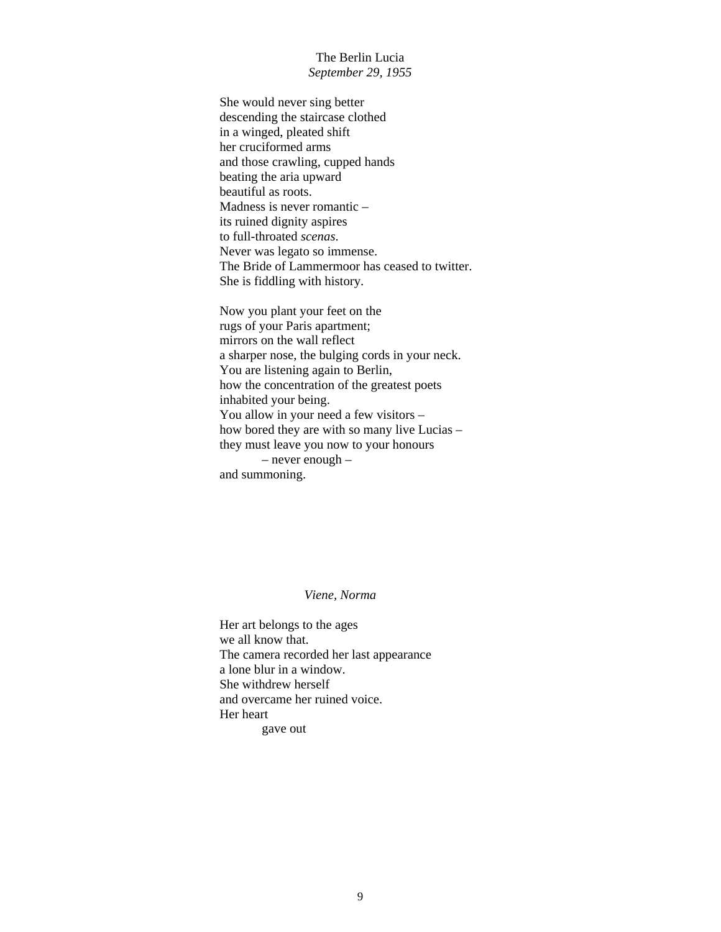#### The Berlin Lucia *September 29, 1955*

She would never sing better descending the staircase clothed in a winged, pleated shift her cruciformed arms and those crawling, cupped hands beating the aria upward beautiful as roots. Madness is never romantic – its ruined dignity aspires to full-throated *scenas*. Never was legato so immense. The Bride of Lammermoor has ceased to twitter. She is fiddling with history.

Now you plant your feet on the rugs of your Paris apartment; mirrors on the wall reflect a sharper nose, the bulging cords in your neck. You are listening again to Berlin, how the concentration of the greatest poets inhabited your being. You allow in your need a few visitors – how bored they are with so many live Lucias – they must leave you now to your honours – never enough – and summoning.

#### *Viene, Norma*

Her art belongs to the ages we all know that. The camera recorded her last appearance a lone blur in a window. She withdrew herself and overcame her ruined voice. Her heart gave out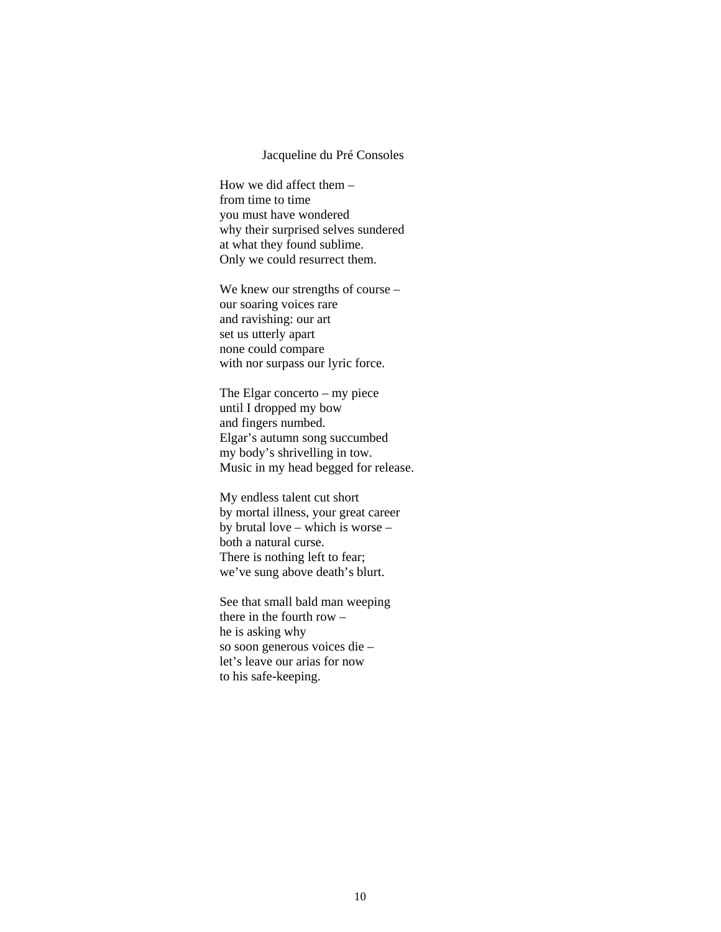#### Jacqueline du Pré Consoles

How we did affect them – from time to time you must have wondered why their surprised selves sundered at what they found sublime. Only we could resurrect them.

We knew our strengths of course – our soaring voices rare and ravishing: our art set us utterly apart none could compare with nor surpass our lyric force.

The Elgar concerto – my piece until I dropped my bow and fingers numbed. Elgar's autumn song succumbed my body's shrivelling in tow. Music in my head begged for release.

My endless talent cut short by mortal illness, your great career by brutal love – which is worse – both a natural curse. There is nothing left to fear; we've sung above death's blurt.

See that small bald man weeping there in the fourth row – he is asking why so soon generous voices die – let's leave our arias for now to his safe-keeping.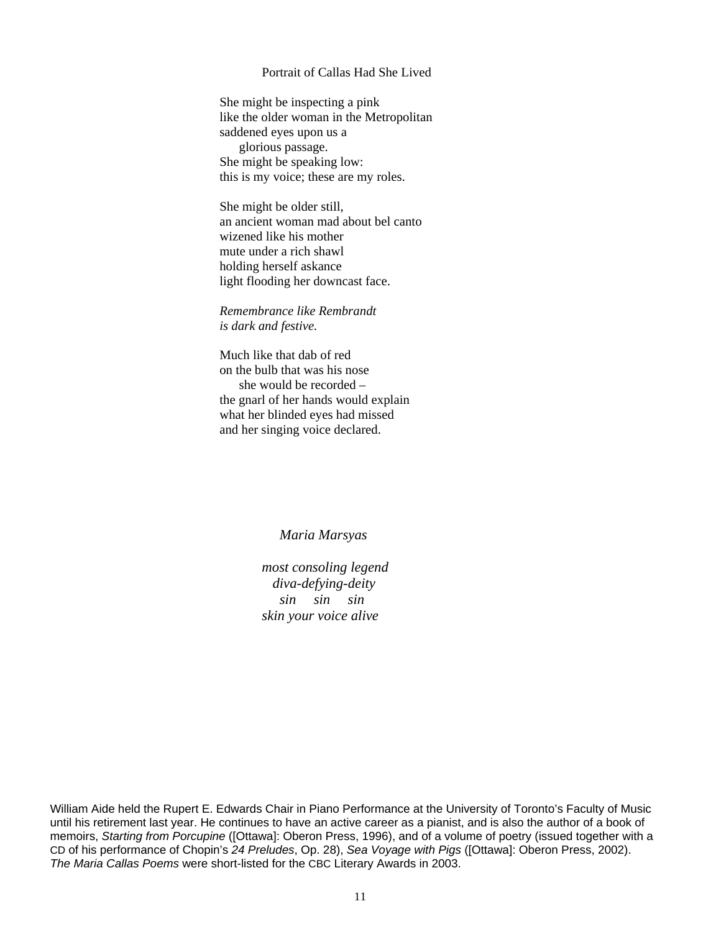#### Portrait of Callas Had She Lived

She might be inspecting a pink like the older woman in the Metropolitan saddened eyes upon us a glorious passage. She might be speaking low: this is my voice; these are my roles.

She might be older still, an ancient woman mad about bel canto wizened like his mother mute under a rich shawl holding herself askance light flooding her downcast face.

*Remembrance like Rembrandt is dark and festive.*

Much like that dab of red on the bulb that was his nose she would be recorded – the gnarl of her hands would explain what her blinded eyes had missed and her singing voice declared.

#### *Maria Marsyas*

*most consoling legend diva-defying-deity sin sin sin skin your voice alive*

William Aide held the Rupert E. Edwards Chair in Piano Performance at the University of Toronto's Faculty of Music until his retirement last year. He continues to have an active career as a pianist, and is also the author of a book of memoirs, *Starting from Porcupine* ([Ottawa]: Oberon Press, 1996), and of a volume of poetry (issued together with a CD of his performance of Chopin's *24 Preludes*, Op. 28), *Sea Voyage with Pigs* ([Ottawa]: Oberon Press, 2002). *The Maria Callas Poems* were short-listed for the CBC Literary Awards in 2003.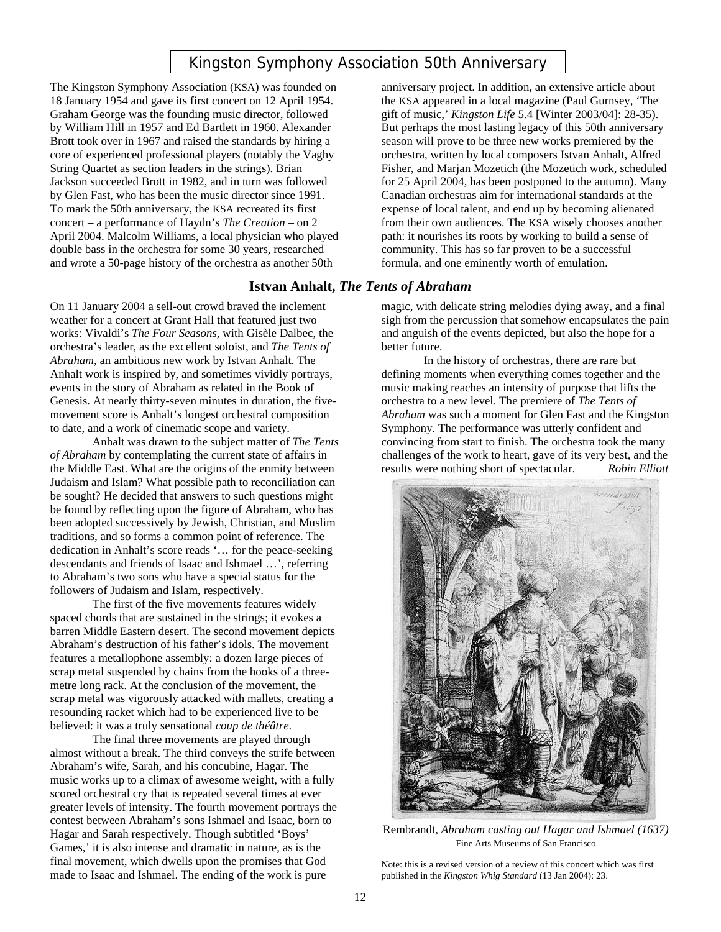# Kingston Symphony Association 50th Anniversary

The Kingston Symphony Association (KSA) was founded on 18 January 1954 and gave its first concert on 12 April 1954. Graham George was the founding music director, followed by William Hill in 1957 and Ed Bartlett in 1960. Alexander Brott took over in 1967 and raised the standards by hiring a core of experienced professional players (notably the Vaghy String Quartet as section leaders in the strings). Brian Jackson succeeded Brott in 1982, and in turn was followed by Glen Fast, who has been the music director since 1991. To mark the 50th anniversary, the KSA recreated its first concert – a performance of Haydn's *The Creation* – on 2 April 2004. Malcolm Williams, a local physician who played double bass in the orchestra for some 30 years, researched and wrote a 50-page history of the orchestra as another 50th

### **Istvan Anhalt,** *The Tents of Abraham*

On 11 January 2004 a sell-out crowd braved the inclement weather for a concert at Grant Hall that featured just two works: Vivaldi's *The Four Seasons*, with Gisèle Dalbec, the orchestra's leader, as the excellent soloist, and *The Tents of Abraham*, an ambitious new work by Istvan Anhalt. The Anhalt work is inspired by, and sometimes vividly portrays, events in the story of Abraham as related in the Book of Genesis. At nearly thirty-seven minutes in duration, the fivemovement score is Anhalt's longest orchestral composition to date, and a work of cinematic scope and variety.

Anhalt was drawn to the subject matter of *The Tents of Abraham* by contemplating the current state of affairs in the Middle East. What are the origins of the enmity between Judaism and Islam? What possible path to reconciliation can be sought? He decided that answers to such questions might be found by reflecting upon the figure of Abraham, who has been adopted successively by Jewish, Christian, and Muslim traditions, and so forms a common point of reference. The dedication in Anhalt's score reads '… for the peace-seeking descendants and friends of Isaac and Ishmael …', referring to Abraham's two sons who have a special status for the followers of Judaism and Islam, respectively.

The first of the five movements features widely spaced chords that are sustained in the strings; it evokes a barren Middle Eastern desert. The second movement depicts Abraham's destruction of his father's idols. The movement features a metallophone assembly: a dozen large pieces of scrap metal suspended by chains from the hooks of a threemetre long rack. At the conclusion of the movement, the scrap metal was vigorously attacked with mallets, creating a resounding racket which had to be experienced live to be believed: it was a truly sensational *coup de théâtre*.

The final three movements are played through almost without a break. The third conveys the strife between Abraham's wife, Sarah, and his concubine, Hagar. The music works up to a climax of awesome weight, with a fully scored orchestral cry that is repeated several times at ever greater levels of intensity. The fourth movement portrays the contest between Abraham's sons Ishmael and Isaac, born to Hagar and Sarah respectively. Though subtitled 'Boys' Games,' it is also intense and dramatic in nature, as is the final movement, which dwells upon the promises that God made to Isaac and Ishmael. The ending of the work is pure

anniversary project. In addition, an extensive article about the KSA appeared in a local magazine (Paul Gurnsey, 'The gift of music,' *Kingston Life* 5.4 [Winter 2003/04]: 28-35). But perhaps the most lasting legacy of this 50th anniversary season will prove to be three new works premiered by the orchestra, written by local composers Istvan Anhalt, Alfred Fisher, and Marjan Mozetich (the Mozetich work, scheduled for 25 April 2004, has been postponed to the autumn). Many Canadian orchestras aim for international standards at the expense of local talent, and end up by becoming alienated from their own audiences. The KSA wisely chooses another path: it nourishes its roots by working to build a sense of community. This has so far proven to be a successful formula, and one eminently worth of emulation.

magic, with delicate string melodies dying away, and a final sigh from the percussion that somehow encapsulates the pain and anguish of the events depicted, but also the hope for a better future.

In the history of orchestras, there are rare but defining moments when everything comes together and the music making reaches an intensity of purpose that lifts the orchestra to a new level. The premiere of *The Tents of Abraham* was such a moment for Glen Fast and the Kingston Symphony. The performance was utterly confident and convincing from start to finish. The orchestra took the many challenges of the work to heart, gave of its very best, and the results were nothing short of spectacular. *Robin Elliott*



Rembrandt, *Abraham casting out Hagar and Ishmael (1637)* Fine Arts Museums of San Francisco

Note: this is a revised version of a review of this concert which was first published in the *Kingston Whig Standard* (13 Jan 2004): 23.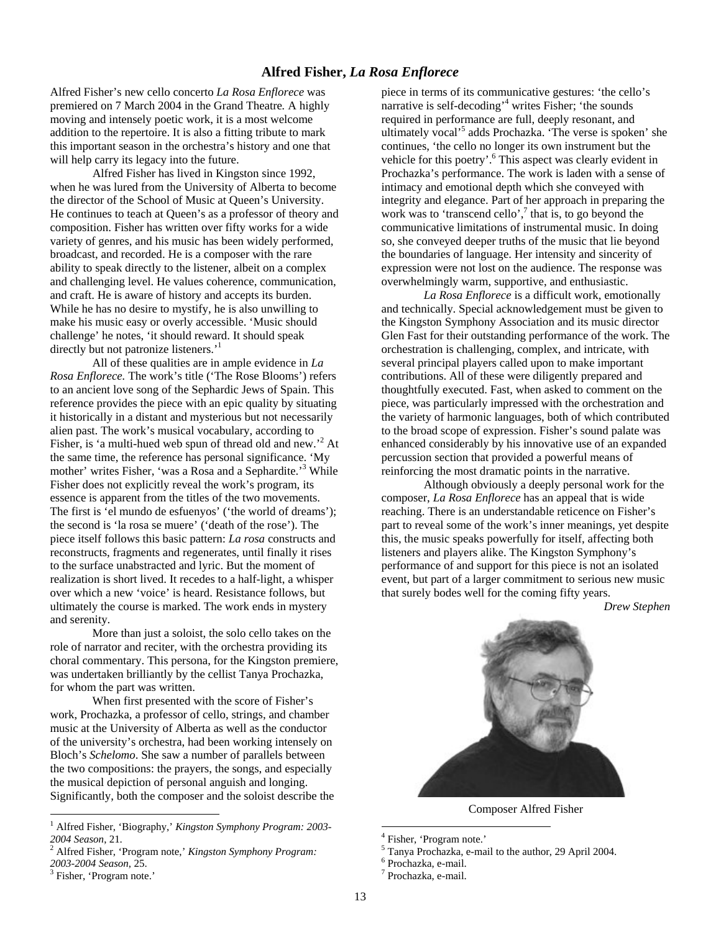#### **Alfred Fisher,** *La Rosa Enflorece*

Alfred Fisher's new cello concerto *La Rosa Enflorece* was premiered on 7 March 2004 in the Grand Theatre*.* A highly moving and intensely poetic work, it is a most welcome addition to the repertoire. It is also a fitting tribute to mark this important season in the orchestra's history and one that will help carry its legacy into the future.

Alfred Fisher has lived in Kingston since 1992, when he was lured from the University of Alberta to become the director of the School of Music at Queen's University. He continues to teach at Queen's as a professor of theory and composition. Fisher has written over fifty works for a wide variety of genres, and his music has been widely performed, broadcast, and recorded. He is a composer with the rare ability to speak directly to the listener, albeit on a complex and challenging level. He values coherence, communication, and craft. He is aware of history and accepts its burden. While he has no desire to mystify, he is also unwilling to make his music easy or overly accessible. 'Music should challenge' he notes, 'it should reward. It should speak directly but not patronize listeners.<sup>1</sup>

All of these qualities are in ample evidence in *La Rosa Enflorece.* The work's title ('The Rose Blooms') refers to an ancient love song of the Sephardic Jews of Spain. This reference provides the piece with an epic quality by situating it historically in a distant and mysterious but not necessarily alien past. The work's musical vocabulary, according to Fisher, is 'a multi-hued web spun of thread old and new.<sup>2</sup> At the same time, the reference has personal significance. 'My mother' writes Fisher, 'was a Rosa and a Sephardite.'<sup>3</sup> While Fisher does not explicitly reveal the work's program, its essence is apparent from the titles of the two movements. The first is 'el mundo de esfuenyos' ('the world of dreams'); the second is 'la rosa se muere' ('death of the rose'). The piece itself follows this basic pattern: *La rosa* constructs and reconstructs, fragments and regenerates, until finally it rises to the surface unabstracted and lyric. But the moment of realization is short lived. It recedes to a half-light, a whisper over which a new 'voice' is heard. Resistance follows, but ultimately the course is marked. The work ends in mystery and serenity.

More than just a soloist, the solo cello takes on the role of narrator and reciter, with the orchestra providing its choral commentary. This persona, for the Kingston premiere, was undertaken brilliantly by the cellist Tanya Prochazka, for whom the part was written.

When first presented with the score of Fisher's work, Prochazka, a professor of cello, strings, and chamber music at the University of Alberta as well as the conductor of the university's orchestra, had been working intensely on Bloch's *Schelomo*. She saw a number of parallels between the two compositions: the prayers, the songs, and especially the musical depiction of personal anguish and longing. Significantly, both the composer and the soloist describe the

 $\overline{a}$ 

piece in terms of its communicative gestures: 'the cello's narrative is self-decoding<sup>,4</sup> writes Fisher; 'the sounds required in performance are full, deeply resonant, and ultimately vocal<sup>55</sup> adds Prochazka. 'The verse is spoken' she continues, 'the cello no longer its own instrument but the vehicle for this poetry'.<sup>6</sup> This aspect was clearly evident in Prochazka's performance. The work is laden with a sense of intimacy and emotional depth which she conveyed with integrity and elegance. Part of her approach in preparing the work was to 'transcend cello', $\frac{7}{7}$  that is, to go beyond the communicative limitations of instrumental music. In doing so, she conveyed deeper truths of the music that lie beyond the boundaries of language. Her intensity and sincerity of expression were not lost on the audience. The response was overwhelmingly warm, supportive, and enthusiastic.

*La Rosa Enflorece* is a difficult work, emotionally and technically. Special acknowledgement must be given to the Kingston Symphony Association and its music director Glen Fast for their outstanding performance of the work. The orchestration is challenging, complex, and intricate, with several principal players called upon to make important contributions. All of these were diligently prepared and thoughtfully executed. Fast, when asked to comment on the piece, was particularly impressed with the orchestration and the variety of harmonic languages, both of which contributed to the broad scope of expression. Fisher's sound palate was enhanced considerably by his innovative use of an expanded percussion section that provided a powerful means of reinforcing the most dramatic points in the narrative.

Although obviously a deeply personal work for the composer, *La Rosa Enflorece* has an appeal that is wide reaching. There is an understandable reticence on Fisher's part to reveal some of the work's inner meanings, yet despite this, the music speaks powerfully for itself, affecting both listeners and players alike. The Kingston Symphony's performance of and support for this piece is not an isolated event, but part of a larger commitment to serious new music that surely bodes well for the coming fifty years.

*Drew Stephen*



Composer Alfred Fisher

 $\overline{a}$ 

<sup>1</sup> Alfred Fisher, 'Biography,' *Kingston Symphony Program: 2003- 2004 Season*, 21. <sup>2</sup> Alfred Fisher, 'Program note,' *Kingston Symphony Program:* 

*<sup>2003-2004</sup> Season*, 25. 3

<sup>&</sup>lt;sup>3</sup> Fisher, 'Program note.'

<sup>4</sup> Fisher, 'Program note.'

<sup>5</sup> Tanya Prochazka, e-mail to the author, 29 April 2004. 6

 $6$  Prochazka, e-mail.

Prochazka, e-mail.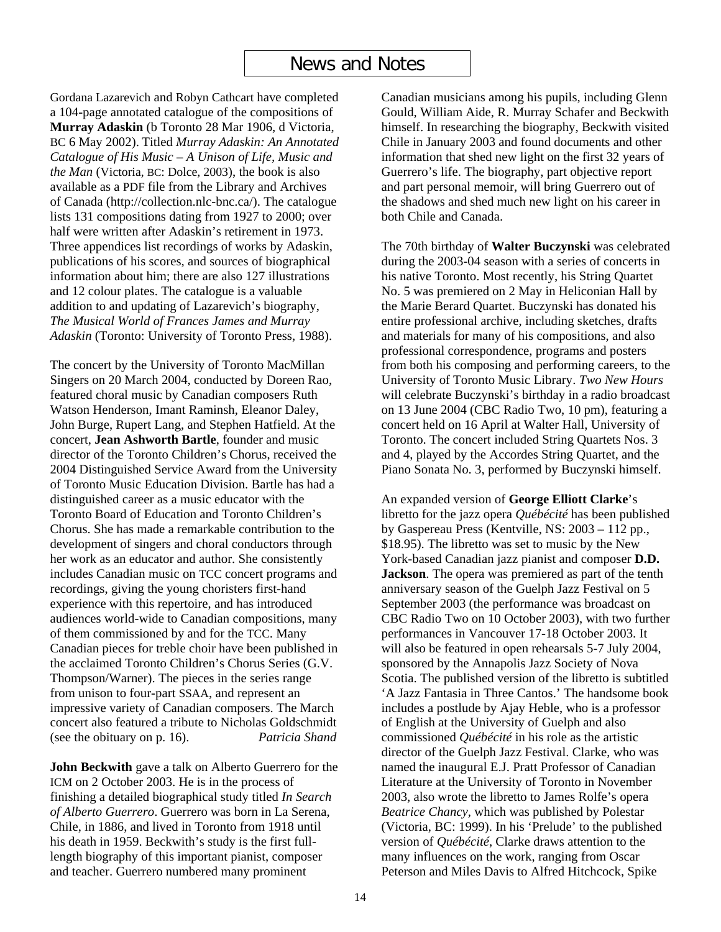## News and Notes

Gordana Lazarevich and Robyn Cathcart have completed a 104-page annotated catalogue of the compositions of **Murray Adaskin** (b Toronto 28 Mar 1906, d Victoria, BC 6 May 2002). Titled *Murray Adaskin: An Annotated Catalogue of His Music – A Unison of Life, Music and the Man* (Victoria, BC: Dolce, 2003), the book is also available as a PDF file from the Library and Archives of Canada (http://collection.nlc-bnc.ca/). The catalogue lists 131 compositions dating from 1927 to 2000; over half were written after Adaskin's retirement in 1973. Three appendices list recordings of works by Adaskin, publications of his scores, and sources of biographical information about him; there are also 127 illustrations and 12 colour plates. The catalogue is a valuable addition to and updating of Lazarevich's biography, *The Musical World of Frances James and Murray Adaskin* (Toronto: University of Toronto Press, 1988).

The concert by the University of Toronto MacMillan Singers on 20 March 2004, conducted by Doreen Rao, featured choral music by Canadian composers Ruth Watson Henderson, Imant Raminsh, Eleanor Daley, John Burge, Rupert Lang, and Stephen Hatfield. At the concert, **Jean Ashworth Bartle**, founder and music director of the Toronto Children's Chorus, received the 2004 Distinguished Service Award from the University of Toronto Music Education Division. Bartle has had a distinguished career as a music educator with the Toronto Board of Education and Toronto Children's Chorus. She has made a remarkable contribution to the development of singers and choral conductors through her work as an educator and author. She consistently includes Canadian music on TCC concert programs and recordings, giving the young choristers first-hand experience with this repertoire, and has introduced audiences world-wide to Canadian compositions, many of them commissioned by and for the TCC. Many Canadian pieces for treble choir have been published in the acclaimed Toronto Children's Chorus Series (G.V. Thompson/Warner). The pieces in the series range from unison to four-part SSAA, and represent an impressive variety of Canadian composers. The March concert also featured a tribute to Nicholas Goldschmidt (see the obituary on p. 16). *Patricia Shand*

**John Beckwith** gave a talk on Alberto Guerrero for the ICM on 2 October 2003. He is in the process of finishing a detailed biographical study titled *In Search of Alberto Guerrero*. Guerrero was born in La Serena, Chile, in 1886, and lived in Toronto from 1918 until his death in 1959. Beckwith's study is the first fulllength biography of this important pianist, composer and teacher. Guerrero numbered many prominent

Canadian musicians among his pupils, including Glenn Gould, William Aide, R. Murray Schafer and Beckwith himself. In researching the biography, Beckwith visited Chile in January 2003 and found documents and other information that shed new light on the first 32 years of Guerrero's life. The biography, part objective report and part personal memoir, will bring Guerrero out of the shadows and shed much new light on his career in both Chile and Canada.

The 70th birthday of **Walter Buczynski** was celebrated during the 2003-04 season with a series of concerts in his native Toronto. Most recently, his String Quartet No. 5 was premiered on 2 May in Heliconian Hall by the Marie Berard Quartet. Buczynski has donated his entire professional archive, including sketches, drafts and materials for many of his compositions, and also professional correspondence, programs and posters from both his composing and performing careers, to the University of Toronto Music Library. *Two New Hours* will celebrate Buczynski's birthday in a radio broadcast on 13 June 2004 (CBC Radio Two, 10 pm), featuring a concert held on 16 April at Walter Hall, University of Toronto. The concert included String Quartets Nos. 3 and 4, played by the Accordes String Quartet, and the Piano Sonata No. 3, performed by Buczynski himself.

An expanded version of **George Elliott Clarke**'s libretto for the jazz opera *Québécité* has been published by Gaspereau Press (Kentville, NS: 2003 – 112 pp., \$18.95). The libretto was set to music by the New York-based Canadian jazz pianist and composer **D.D. Jackson**. The opera was premiered as part of the tenth anniversary season of the Guelph Jazz Festival on 5 September 2003 (the performance was broadcast on CBC Radio Two on 10 October 2003), with two further performances in Vancouver 17-18 October 2003. It will also be featured in open rehearsals 5-7 July 2004, sponsored by the Annapolis Jazz Society of Nova Scotia. The published version of the libretto is subtitled 'A Jazz Fantasia in Three Cantos.' The handsome book includes a postlude by Ajay Heble, who is a professor of English at the University of Guelph and also commissioned *Québécité* in his role as the artistic director of the Guelph Jazz Festival. Clarke, who was named the inaugural E.J. Pratt Professor of Canadian Literature at the University of Toronto in November 2003, also wrote the libretto to James Rolfe's opera *Beatrice Chancy*, which was published by Polestar (Victoria, BC: 1999). In his 'Prelude' to the published version of *Québécité*, Clarke draws attention to the many influences on the work, ranging from Oscar Peterson and Miles Davis to Alfred Hitchcock, Spike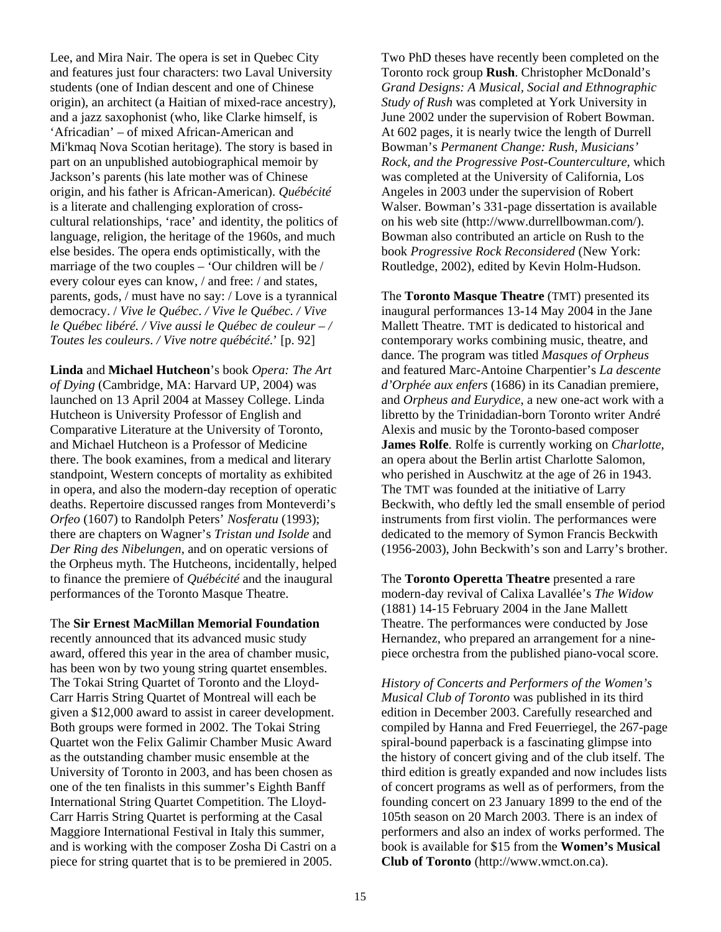Lee, and Mira Nair. The opera is set in Quebec City and features just four characters: two Laval University students (one of Indian descent and one of Chinese origin), an architect (a Haitian of mixed-race ancestry), and a jazz saxophonist (who, like Clarke himself, is 'Africadian' – of mixed African-American and Mi'kmaq Nova Scotian heritage). The story is based in part on an unpublished autobiographical memoir by Jackson's parents (his late mother was of Chinese origin, and his father is African-American). *Québécité* is a literate and challenging exploration of crosscultural relationships, 'race' and identity, the politics of language, religion, the heritage of the 1960s, and much else besides. The opera ends optimistically, with the marriage of the two couples – 'Our children will be / every colour eyes can know, / and free: / and states, parents, gods, / must have no say: / Love is a tyrannical democracy. / *Vive le Québec*. */ Vive le Québec. / Vive le Québec libéré. / Vive aussi le Québec de couleur – / Toutes les couleurs*. */ Vive notre québécité*.' [p. 92]

**Linda** and **Michael Hutcheon**'s book *Opera: The Art of Dying* (Cambridge, MA: Harvard UP, 2004) was launched on 13 April 2004 at Massey College. Linda Hutcheon is University Professor of English and Comparative Literature at the University of Toronto, and Michael Hutcheon is a Professor of Medicine there. The book examines, from a medical and literary standpoint, Western concepts of mortality as exhibited in opera, and also the modern-day reception of operatic deaths. Repertoire discussed ranges from Monteverdi's *Orfeo* (1607) to Randolph Peters' *Nosferatu* (1993); there are chapters on Wagner's *Tristan und Isolde* and *Der Ring des Nibelungen*, and on operatic versions of the Orpheus myth. The Hutcheons, incidentally, helped to finance the premiere of *Québécité* and the inaugural performances of the Toronto Masque Theatre.

The **Sir Ernest MacMillan Memorial Foundation** recently announced that its advanced music study award, offered this year in the area of chamber music, has been won by two young string quartet ensembles. The Tokai String Quartet of Toronto and the Lloyd-Carr Harris String Quartet of Montreal will each be given a \$12,000 award to assist in career development. Both groups were formed in 2002. The Tokai String Quartet won the Felix Galimir Chamber Music Award as the outstanding chamber music ensemble at the University of Toronto in 2003, and has been chosen as one of the ten finalists in this summer's Eighth Banff International String Quartet Competition. The Lloyd-Carr Harris String Quartet is performing at the Casal Maggiore International Festival in Italy this summer, and is working with the composer Zosha Di Castri on a piece for string quartet that is to be premiered in 2005.

Two PhD theses have recently been completed on the Toronto rock group **Rush**. Christopher McDonald's *Grand Designs: A Musical, Social and Ethnographic Study of Rush* was completed at York University in June 2002 under the supervision of Robert Bowman. At 602 pages, it is nearly twice the length of Durrell Bowman's *Permanent Change: Rush, Musicians' Rock, and the Progressive Post-Counterculture*, which was completed at the University of California, Los Angeles in 2003 under the supervision of Robert Walser. Bowman's 331-page dissertation is available on his web site (http://www.durrellbowman.com/). Bowman also contributed an article on Rush to the book *Progressive Rock Reconsidered* (New York: Routledge, 2002), edited by Kevin Holm-Hudson.

The **Toronto Masque Theatre** (TMT) presented its inaugural performances 13-14 May 2004 in the Jane Mallett Theatre. TMT is dedicated to historical and contemporary works combining music, theatre, and dance. The program was titled *Masques of Orpheus* and featured Marc-Antoine Charpentier's *La descente d'Orphée aux enfers* (1686) in its Canadian premiere, and *Orpheus and Eurydice*, a new one-act work with a libretto by the Trinidadian-born Toronto writer André Alexis and music by the Toronto-based composer **James Rolfe**. Rolfe is currently working on *Charlotte*, an opera about the Berlin artist Charlotte Salomon, who perished in Auschwitz at the age of 26 in 1943. The TMT was founded at the initiative of Larry Beckwith, who deftly led the small ensemble of period instruments from first violin. The performances were dedicated to the memory of Symon Francis Beckwith (1956-2003), John Beckwith's son and Larry's brother.

The **Toronto Operetta Theatre** presented a rare modern-day revival of Calixa Lavallée's *The Widow* (1881) 14-15 February 2004 in the Jane Mallett Theatre. The performances were conducted by Jose Hernandez, who prepared an arrangement for a ninepiece orchestra from the published piano-vocal score.

*History of Concerts and Performers of the Women's Musical Club of Toronto* was published in its third edition in December 2003. Carefully researched and compiled by Hanna and Fred Feuerriegel, the 267-page spiral-bound paperback is a fascinating glimpse into the history of concert giving and of the club itself. The third edition is greatly expanded and now includes lists of concert programs as well as of performers, from the founding concert on 23 January 1899 to the end of the 105th season on 20 March 2003. There is an index of performers and also an index of works performed. The book is available for \$15 from the **Women's Musical Club of Toronto** (http://www.wmct.on.ca).